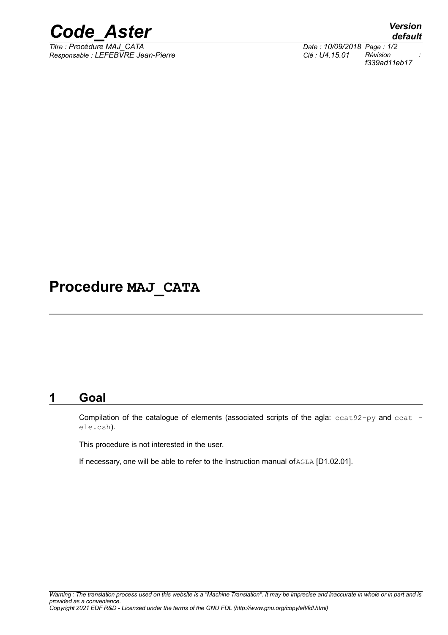

*Responsable : LEFEBVRE Jean-Pierre Clé : U4.15.01 Révision :*

*default Titre : Procédure MAJ\_CATA Date : 10/09/2018 Page : 1/2 f339ad11eb17*

## **Procedure MAJ\_CATA**

## **1 Goal**

Compilation of the catalogue of elements (associated scripts of the agla: ccat92-py and ccat ele.csh).

This procedure is not interested in the user.

If necessary, one will be able to refer to the Instruction manual of AGLA [D1.02.01].